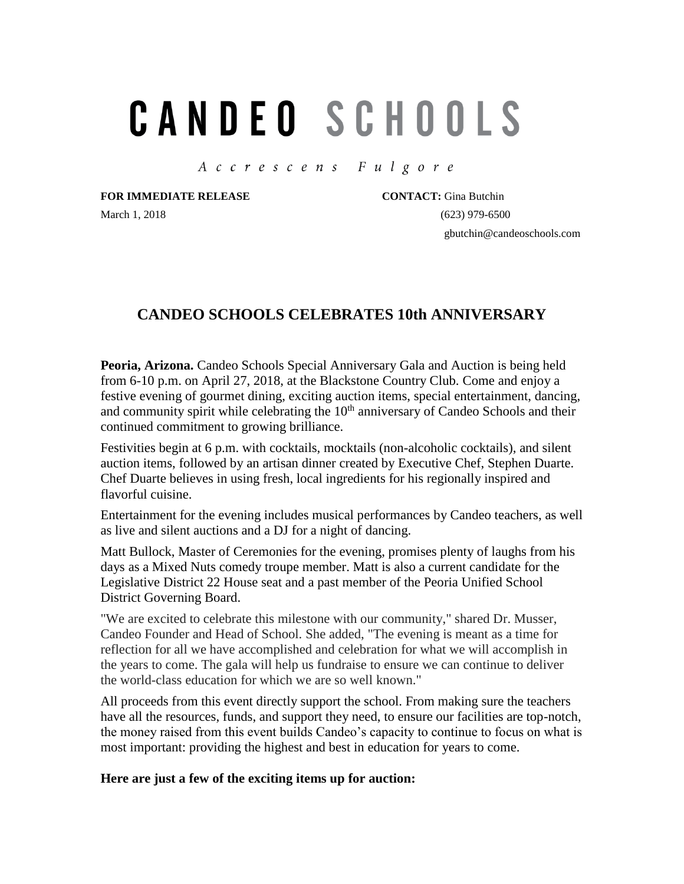## **CANDEO SCHOOLS**

Accrescens Fulgore

**FOR IMMEDIATE RELEASE CONTACT:** Gina Butchin

March 1, 2018 (623) 979-6500 gbutchin@candeoschools.com

## **CANDEO SCHOOLS CELEBRATES 10th ANNIVERSARY**

**Peoria, Arizona.** Candeo Schools Special Anniversary Gala and Auction is being held from 6-10 p.m. on April 27, 2018, at the Blackstone Country Club. Come and enjoy a festive evening of gourmet dining, exciting auction items, special entertainment, dancing, and community spirit while celebrating the  $10<sup>th</sup>$  anniversary of Candeo Schools and their continued commitment to growing brilliance.

Festivities begin at 6 p.m. with cocktails, mocktails (non-alcoholic cocktails), and silent auction items, followed by an artisan dinner created by Executive Chef, Stephen Duarte. Chef Duarte believes in using fresh, local ingredients for his regionally inspired and flavorful cuisine.

Entertainment for the evening includes musical performances by Candeo teachers, as well as live and silent auctions and a DJ for a night of dancing.

Matt Bullock, Master of Ceremonies for the evening, promises plenty of laughs from his days as a Mixed Nuts comedy troupe member. Matt is also a current candidate for the Legislative District 22 House seat and a past member of the Peoria Unified School District Governing Board.

"We are excited to celebrate this milestone with our community," shared Dr. Musser, Candeo Founder and Head of School. She added, "The evening is meant as a time for reflection for all we have accomplished and celebration for what we will accomplish in the years to come. The gala will help us fundraise to ensure we can continue to deliver the world-class education for which we are so well known."

All proceeds from this event directly support the school. From making sure the teachers have all the resources, funds, and support they need, to ensure our facilities are top-notch, the money raised from this event builds Candeo's capacity to continue to focus on what is most important: providing the highest and best in education for years to come.

## **Here are just a few of the exciting items up for auction:**